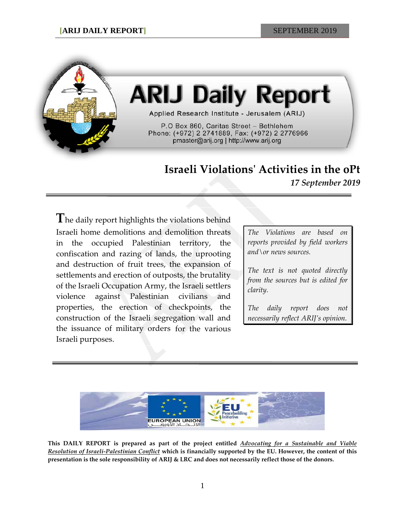

# **ARIJ Daily Report**

Applied Research Institute - Jerusalem (ARIJ)

P.O Box 860, Caritas Street - Bethlehem Phone: (+972) 2 2741889, Fax: (+972) 2 2776966 pmaster@arij.org | http://www.arij.org

# **Israeli Violations' Activities in the oPt**

*17 September 2019*

**T**he daily report highlights the violations behind Israeli home demolitions and demolition threats in the occupied Palestinian territory, the confiscation and razing of lands, the uprooting and destruction of fruit trees, the expansion of settlements and erection of outposts, the brutality of the Israeli Occupation Army, the Israeli settlers violence against Palestinian civilians and properties, the erection of checkpoints, the construction of the Israeli segregation wall and the issuance of military orders for the various Israeli purposes.

*The Violations are based on reports provided by field workers and\or news sources.*

*The text is not quoted directly from the sources but is edited for clarity.*

*The daily report does not necessarily reflect ARIJ's opinion.*



**This DAILY REPORT is prepared as part of the project entitled** *Advocating for a Sustainable and Viable Resolution of Israeli-Palestinian Conflict* **which is financially supported by the EU. However, the content of this presentation is the sole responsibility of ARIJ & LRC and does not necessarily reflect those of the donors.**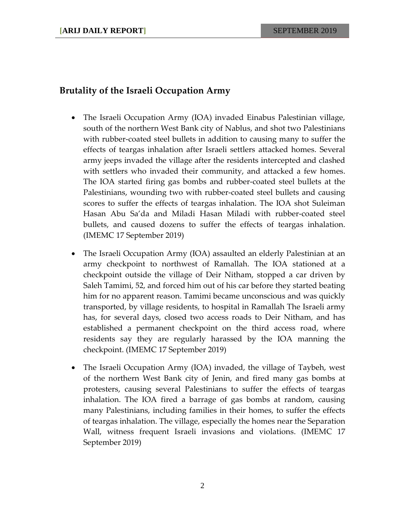## **Brutality of the Israeli Occupation Army**

- The Israeli Occupation Army (IOA) invaded Einabus Palestinian village, south of the northern West Bank city of Nablus, and shot two Palestinians with rubber-coated steel bullets in addition to causing many to suffer the effects of teargas inhalation after Israeli settlers attacked homes. Several army jeeps invaded the village after the residents intercepted and clashed with settlers who invaded their community, and attacked a few homes. The IOA started firing gas bombs and rubber-coated steel bullets at the Palestinians, wounding two with rubber-coated steel bullets and causing scores to suffer the effects of teargas inhalation. The IOA shot Suleiman Hasan Abu Sa'da and Miladi Hasan Miladi with rubber-coated steel bullets, and caused dozens to suffer the effects of teargas inhalation. (IMEMC 17 September 2019)
- The Israeli Occupation Army (IOA) assaulted an elderly Palestinian at an army checkpoint to northwest of Ramallah. The IOA stationed at a checkpoint outside the village of Deir Nitham, stopped a car driven by Saleh Tamimi, 52, and forced him out of his car before they started beating him for no apparent reason. Tamimi became unconscious and was quickly transported, by village residents, to hospital in Ramallah The Israeli army has, for several days, closed two access roads to Deir Nitham, and has established a permanent checkpoint on the third access road, where residents say they are regularly harassed by the IOA manning the checkpoint. (IMEMC 17 September 2019)
- The Israeli Occupation Army (IOA) invaded, the village of Taybeh, west of the northern West Bank city of Jenin, and fired many gas bombs at protesters, causing several Palestinians to suffer the effects of teargas inhalation. The IOA fired a barrage of gas bombs at random, causing many Palestinians, including families in their homes, to suffer the effects of teargas inhalation. The village, especially the homes near the Separation Wall, witness frequent Israeli invasions and violations. (IMEMC 17 September 2019)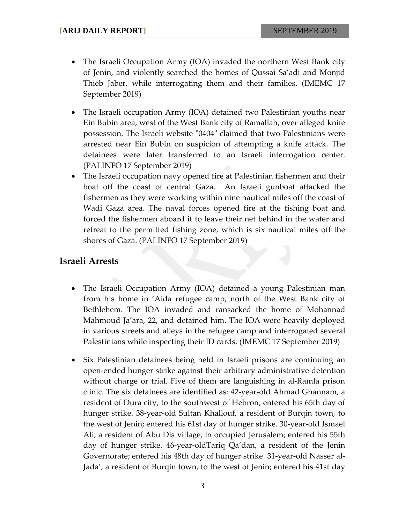- The Israeli Occupation Army (IOA) invaded the northern West Bank city of Jenin, and violently searched the homes of Qussai Sa'adi and Monjid Thieb Jaber, while interrogating them and their families. (IMEMC 17 September 2019)
- The Israeli occupation Army (IOA) detained two Palestinian youths near Ein Bubin area, west of the West Bank city of Ramallah, over alleged knife possession. The Israeli website "0404" claimed that two Palestinians were arrested near Ein Bubin on suspicion of attempting a knife attack. The detainees were later transferred to an Israeli interrogation center. (PALINFO 17 September 2019)
- The Israeli occupation navy opened fire at Palestinian fishermen and their boat off the coast of central Gaza. An Israeli gunboat attacked the fishermen as they were working within nine nautical miles off the coast of Wadi Gaza area. The naval forces opened fire at the fishing boat and forced the fishermen aboard it to leave their net behind in the water and retreat to the permitted fishing zone, which is six nautical miles off the shores of Gaza. (PALINFO 17 September 2019)

### **Israeli Arrests**

- The Israeli Occupation Army (IOA) detained a young Palestinian man from his home in 'Aida refugee camp, north of the West Bank city of Bethlehem. The IOA invaded and ransacked the home of Mohannad Mahmoud Ja'ara, 22, and detained him. The IOA were heavily deployed in various streets and alleys in the refugee camp and interrogated several Palestinians while inspecting their ID cards. (IMEMC 17 September 2019)
- Six Palestinian detainees being held in Israeli prisons are continuing an open-ended hunger strike against their arbitrary administrative detention without charge or trial. Five of them are languishing in al-Ramla prison clinic. The six detainees are identified as: 42-year-old Ahmad Ghannam, a resident of Dura city, to the southwest of Hebron; entered his 65th day of hunger strike. 38-year-old Sultan Khallouf, a resident of Burqin town, to the west of Jenin; entered his 61st day of hunger strike. 30-year-old Ismael Ali, a resident of Abu Dis village, in occupied Jerusalem; entered his 55th day of hunger strike. 46-year-oldTariq Qa'dan, a resident of the Jenin Governorate; entered his 48th day of hunger strike. 31-year-old Nasser al-Jada', a resident of Burqin town, to the west of Jenin; entered his 41st day